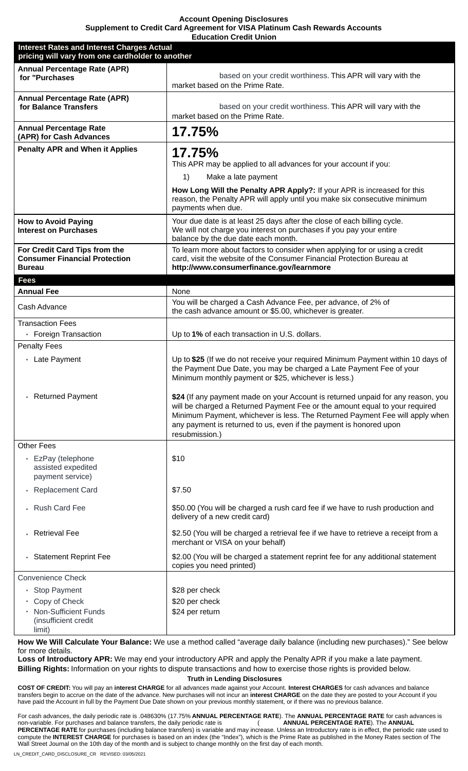**Account Opening Disclosures** Supplement to Credit Card Agreement for VISA Platinum Cash Rewards Accounts وبالمراجع  $\sim$   $\sim$   $\sim$   $\sim$   $\sim$   $\sim$   $\sim$ 

| Euucauon Ureuit Union<br><b>Interest Rates and Interest Charges Actual</b><br>pricing will vary from one cardholder to another |                                                                                                                                                                                                                                                                                                                                         |
|--------------------------------------------------------------------------------------------------------------------------------|-----------------------------------------------------------------------------------------------------------------------------------------------------------------------------------------------------------------------------------------------------------------------------------------------------------------------------------------|
| <b>Annual Percentage Rate (APR)</b><br>for "Purchases                                                                          | based on your credit worthiness. This APR will vary with the<br>market based on the Prime Rate.                                                                                                                                                                                                                                         |
| <b>Annual Percentage Rate (APR)</b><br>for Balance Transfers                                                                   | based on your credit worthiness. This APR will vary with the<br>market based on the Prime Rate.                                                                                                                                                                                                                                         |
| <b>Annual Percentage Rate</b><br>(APR) for Cash Advances                                                                       | 17.75%                                                                                                                                                                                                                                                                                                                                  |
| <b>Penalty APR and When it Applies</b>                                                                                         | 17.75%<br>This APR may be applied to all advances for your account if you:<br>1)<br>Make a late payment<br>How Long Will the Penalty APR Apply?: If your APR is increased for this<br>reason, the Penalty APR will apply until you make six consecutive minimum<br>payments when due.                                                   |
| <b>How to Avoid Paying</b><br><b>Interest on Purchases</b>                                                                     | Your due date is at least 25 days after the close of each billing cycle.<br>We will not charge you interest on purchases if you pay your entire<br>balance by the due date each month.                                                                                                                                                  |
| For Credit Card Tips from the<br><b>Consumer Financial Protection</b><br><b>Bureau</b>                                         | To learn more about factors to consider when applying for or using a credit<br>card, visit the website of the Consumer Financial Protection Bureau at<br>http://www.consumerfinance.gov/learnmore                                                                                                                                       |
| <b>Fees</b>                                                                                                                    |                                                                                                                                                                                                                                                                                                                                         |
| <b>Annual Fee</b>                                                                                                              | None                                                                                                                                                                                                                                                                                                                                    |
| Cash Advance                                                                                                                   | You will be charged a Cash Advance Fee, per advance, of 2% of<br>the cash advance amount or \$5.00, whichever is greater.                                                                                                                                                                                                               |
| <b>Transaction Fees</b><br>· Foreign Transaction                                                                               | Up to 1% of each transaction in U.S. dollars.                                                                                                                                                                                                                                                                                           |
| <b>Penalty Fees</b>                                                                                                            |                                                                                                                                                                                                                                                                                                                                         |
| · Late Payment                                                                                                                 | Up to \$25 (If we do not receive your required Minimum Payment within 10 days of<br>the Payment Due Date, you may be charged a Late Payment Fee of your<br>Minimum monthly payment or \$25, whichever is less.)                                                                                                                         |
| <b>Returned Payment</b>                                                                                                        | \$24 (If any payment made on your Account is returned unpaid for any reason, you<br>will be charged a Returned Payment Fee or the amount equal to your required<br>Minimum Payment, whichever is less. The Returned Payment Fee will apply when<br>any payment is returned to us, even if the payment is honored upon<br>resubmission.) |
| <b>Other Fees</b>                                                                                                              |                                                                                                                                                                                                                                                                                                                                         |
| EzPay (telephone<br>assisted expedited<br>payment service)                                                                     | \$10                                                                                                                                                                                                                                                                                                                                    |
| <b>Replacement Card</b>                                                                                                        | \$7.50                                                                                                                                                                                                                                                                                                                                  |
| <b>Rush Card Fee</b>                                                                                                           | \$50.00 (You will be charged a rush card fee if we have to rush production and<br>delivery of a new credit card)                                                                                                                                                                                                                        |
| <b>Retrieval Fee</b>                                                                                                           | \$2.50 (You will be charged a retrieval fee if we have to retrieve a receipt from a<br>merchant or VISA on your behalf)                                                                                                                                                                                                                 |
| <b>Statement Reprint Fee</b>                                                                                                   | \$2.00 (You will be charged a statement reprint fee for any additional statement<br>copies you need printed)                                                                                                                                                                                                                            |
| <b>Convenience Check</b>                                                                                                       |                                                                                                                                                                                                                                                                                                                                         |
| <b>Stop Payment</b>                                                                                                            | \$28 per check                                                                                                                                                                                                                                                                                                                          |
| Copy of Check                                                                                                                  | \$20 per check                                                                                                                                                                                                                                                                                                                          |
| <b>Non-Sufficient Funds</b><br>(insufficient credit<br>limit)                                                                  | \$24 per return                                                                                                                                                                                                                                                                                                                         |

How We Will Calculate Your Balance: We use a method called "average daily balance (including new purchases)." See below for more details.

Loss of Introductory APR: We may end your introductory APR and apply the Penalty APR if you make a late payment. Billing Rights: Information on your rights to dispute transactions and how to exercise those rights is provided below. **Truth in Lending Disclosures** 

COST OF CREDIT: You will pay an interest CHARGE for all advances made against your Account. Interest CHARGES for cash advances and balance transfers begin to accrue on the date of the advance. New purchases will not incur

For cash advances, the daily periodic rate is .048630% (17.75% ANNUAL PERCENTAGE RATE). The ANNUAL PERCENTAGE RATE for cash advances is<br>non-variable. For purchases and balance transfers, the daily periodic rate is (ANNUAL non-variable. For purchases and balance transfers, the daily periodic rate is PERCENTAGE RATE for purchases (including balance transfers) is variable and may increase. Unless an Introductory rate is in effect, the periodic rate used to compute the INTEREST CHARGE for purchases is based on an index (the "Index"), which is the Prime Rate as published in the Money Rates section of The Wall Street Journal on the 10th day of the month and is subject to change monthly on the first day of each month.

LN\_CREDIT\_CARD\_DISCLOSURE\_CR REVISED: 03/05/2021